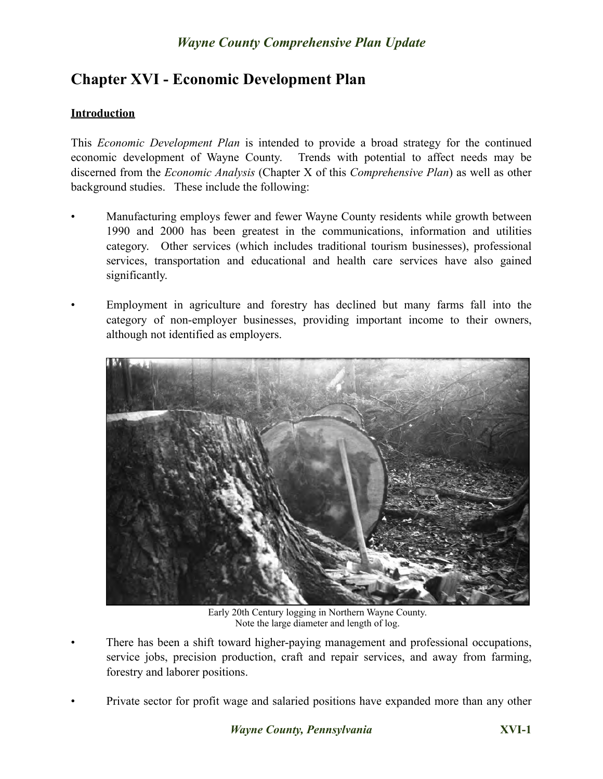# **Chapter XVI - Economic Development Plan**

### **Introduction**

This *Economic Development Plan* is intended to provide a broad strategy for the continued economic development of Wayne County. Trends with potential to affect needs may be discerned from the *Economic Analysis* (Chapter X of this *Comprehensive Plan*) as well as other background studies. These include the following:

- Manufacturing employs fewer and fewer Wayne County residents while growth between 1990 and 2000 has been greatest in the communications, information and utilities category. Other services (which includes traditional tourism businesses), professional services, transportation and educational and health care services have also gained significantly.
- Employment in agriculture and forestry has declined but many farms fall into the category of non-employer businesses, providing important income to their owners, although not identified as employers.



Early 20th Century logging in Northern Wayne County. Note the large diameter and length of log.

- There has been a shift toward higher-paying management and professional occupations, service jobs, precision production, craft and repair services, and away from farming, forestry and laborer positions.
- Private sector for profit wage and salaried positions have expanded more than any other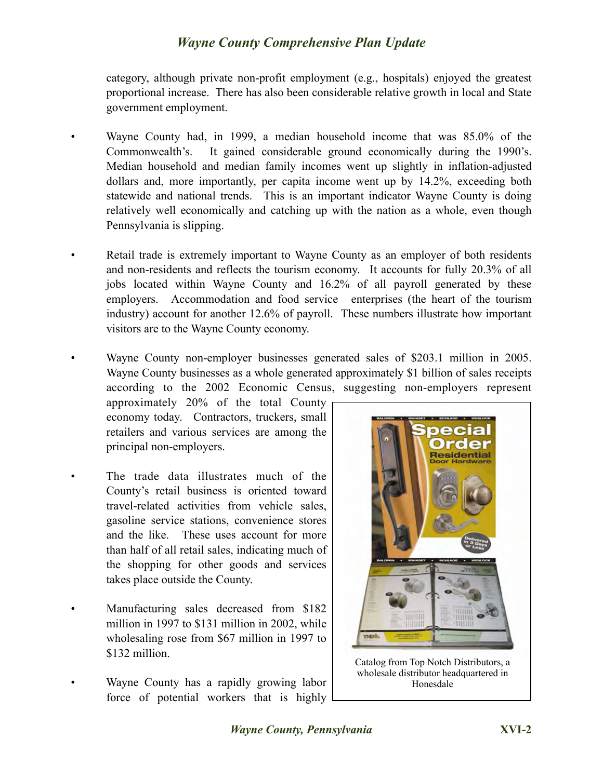category, although private non-profit employment (e.g., hospitals) enjoyed the greatest proportional increase. There has also been considerable relative growth in local and State government employment.

- Wayne County had, in 1999, a median household income that was 85.0% of the Commonwealth's. It gained considerable ground economically during the 1990's. Median household and median family incomes went up slightly in inflation-adjusted dollars and, more importantly, per capita income went up by 14.2%, exceeding both statewide and national trends. This is an important indicator Wayne County is doing relatively well economically and catching up with the nation as a whole, even though Pennsylvania is slipping.
- Retail trade is extremely important to Wayne County as an employer of both residents and non-residents and reflects the tourism economy. It accounts for fully 20.3% of all jobs located within Wayne County and 16.2% of all payroll generated by these employers. Accommodation and food service enterprises (the heart of the tourism industry) account for another 12.6% of payroll. These numbers illustrate how important visitors are to the Wayne County economy.
- Wayne County non-employer businesses generated sales of \$203.1 million in 2005. Wayne County businesses as a whole generated approximately \$1 billion of sales receipts according to the 2002 Economic Census, suggesting non-employers represent

approximately 20% of the total County economy today. Contractors, truckers, small retailers and various services are among the principal non-employers.

- The trade data illustrates much of the County's retail business is oriented toward travel-related activities from vehicle sales, gasoline service stations, convenience stores and the like. These uses account for more than half of all retail sales, indicating much of the shopping for other goods and services takes place outside the County.
- Manufacturing sales decreased from \$182 million in 1997 to \$131 million in 2002, while wholesaling rose from \$67 million in 1997 to \$132 million.
- Wayne County has a rapidly growing labor force of potential workers that is highly



Catalog from Top Notch Distributors, a wholesale distributor headquartered in Honesdale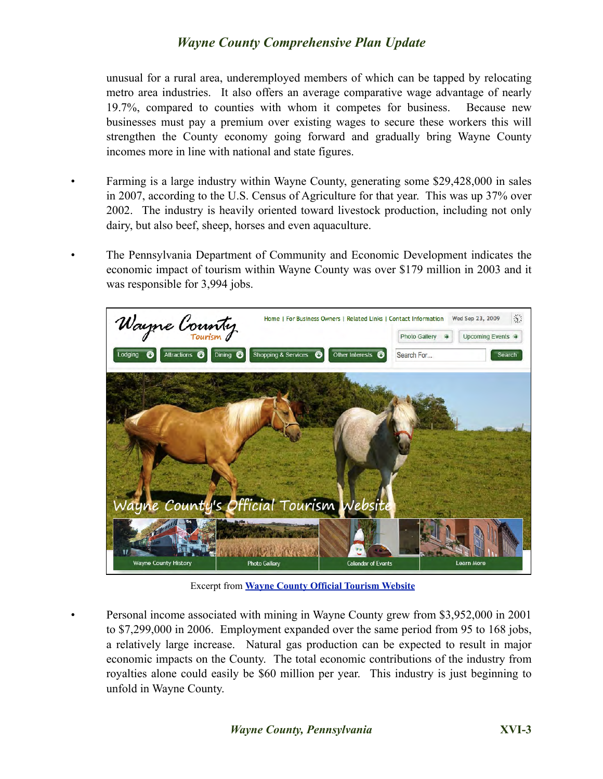unusual for a rural area, underemployed members of which can be tapped by relocating metro area industries. It also offers an average comparative wage advantage of nearly 19.7%, compared to counties with whom it competes for business. Because new businesses must pay a premium over existing wages to secure these workers this will strengthen the County economy going forward and gradually bring Wayne County incomes more in line with national and state figures.

- Farming is a large industry within Wayne County, generating some \$29,428,000 in sales in 2007, according to the U.S. Census of Agriculture for that year. This was up 37% over 2002. The industry is heavily oriented toward livestock production, including not only dairy, but also beef, sheep, horses and even aquaculture.
- The Pennsylvania Department of Community and Economic Development indicates the economic impact of tourism within Wayne County was over \$179 million in 2003 and it was responsible for 3,994 jobs.



Excerpt from **[Wayne County Official Tourism Website](http://www.visitwaynecounty.com/hme/hme.aspx)**

• Personal income associated with mining in Wayne County grew from \$3,952,000 in 2001 to \$7,299,000 in 2006. Employment expanded over the same period from 95 to 168 jobs, a relatively large increase. Natural gas production can be expected to result in major economic impacts on the County. The total economic contributions of the industry from royalties alone could easily be \$60 million per year. This industry is just beginning to unfold in Wayne County.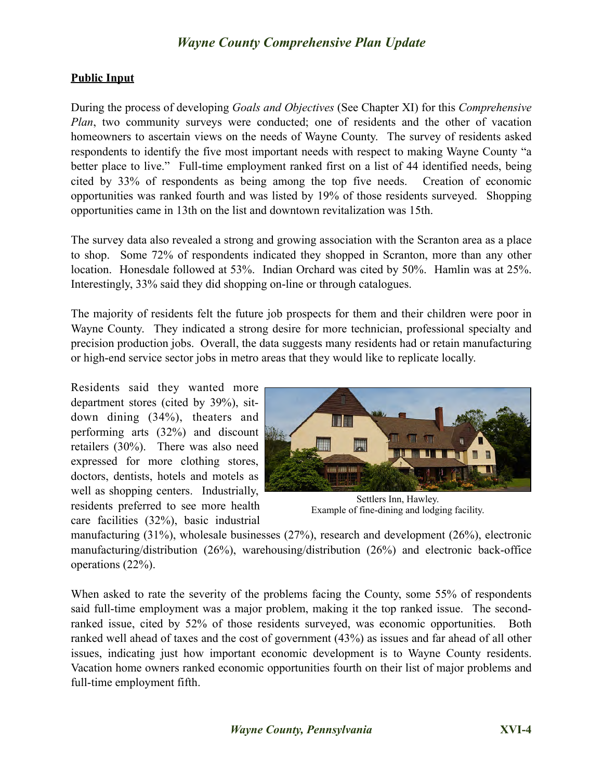#### **Public Input**

During the process of developing *Goals and Objectives* (See Chapter XI) for this *Comprehensive Plan*, two community surveys were conducted; one of residents and the other of vacation homeowners to ascertain views on the needs of Wayne County. The survey of residents asked respondents to identify the five most important needs with respect to making Wayne County "a better place to live." Full-time employment ranked first on a list of 44 identified needs, being cited by 33% of respondents as being among the top five needs. Creation of economic opportunities was ranked fourth and was listed by 19% of those residents surveyed. Shopping opportunities came in 13th on the list and downtown revitalization was 15th.

The survey data also revealed a strong and growing association with the Scranton area as a place to shop. Some 72% of respondents indicated they shopped in Scranton, more than any other location. Honesdale followed at 53%. Indian Orchard was cited by 50%. Hamlin was at 25%. Interestingly, 33% said they did shopping on-line or through catalogues.

The majority of residents felt the future job prospects for them and their children were poor in Wayne County. They indicated a strong desire for more technician, professional specialty and precision production jobs. Overall, the data suggests many residents had or retain manufacturing or high-end service sector jobs in metro areas that they would like to replicate locally.

Residents said they wanted more department stores (cited by 39%), sitdown dining (34%), theaters and performing arts (32%) and discount retailers (30%). There was also need expressed for more clothing stores, doctors, dentists, hotels and motels as well as shopping centers. Industrially, residents preferred to see more health care facilities (32%), basic industrial



Settlers Inn, Hawley. Example of fine-dining and lodging facility.

manufacturing (31%), wholesale businesses (27%), research and development (26%), electronic manufacturing/distribution (26%), warehousing/distribution (26%) and electronic back-office operations (22%).

When asked to rate the severity of the problems facing the County, some 55% of respondents said full-time employment was a major problem, making it the top ranked issue. The secondranked issue, cited by 52% of those residents surveyed, was economic opportunities. Both ranked well ahead of taxes and the cost of government (43%) as issues and far ahead of all other issues, indicating just how important economic development is to Wayne County residents. Vacation home owners ranked economic opportunities fourth on their list of major problems and full-time employment fifth.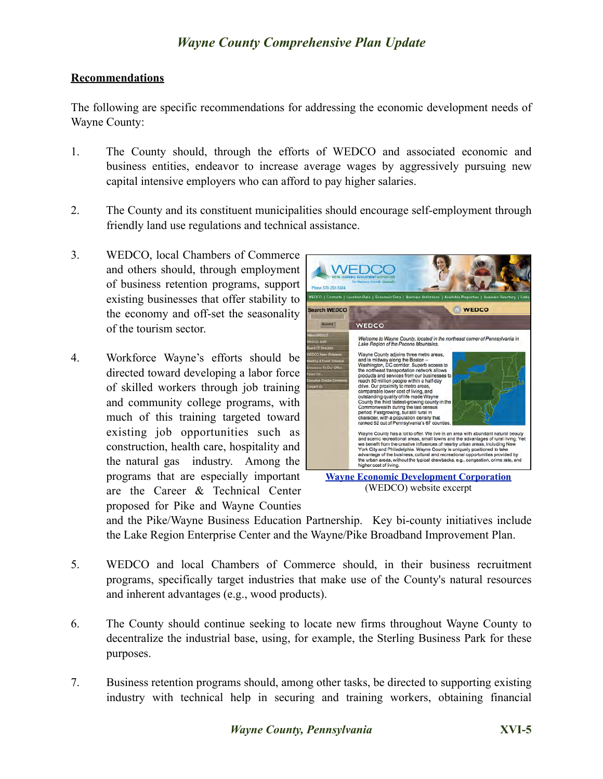#### **Recommendations**

The following are specific recommendations for addressing the economic development needs of Wayne County:

- 1. The County should, through the efforts of WEDCO and associated economic and business entities, endeavor to increase average wages by aggressively pursuing new capital intensive employers who can afford to pay higher salaries.
- 2. The County and its constituent municipalities should encourage self-employment through friendly land use regulations and technical assistance.
- 3. WEDCO, local Chambers of Commerce and others should, through employment of business retention programs, support existing businesses that offer stability to the economy and off-set the seasonality of the tourism sector.
- 4. Workforce Wayne's efforts should be directed toward developing a labor force of skilled workers through job training and community college programs, with much of this training targeted toward existing job opportunities such as construction, health care, hospitality and the natural gas industry. Among the programs that are especially important are the Career & Technical Center proposed for Pike and Wayne Counties



(WEDCO) website excerpt

and the Pike/Wayne Business Education Partnership. Key bi-county initiatives include the Lake Region Enterprise Center and the Wayne/Pike Broadband Improvement Plan.

- 5. WEDCO and local Chambers of Commerce should, in their business recruitment programs, specifically target industries that make use of the County's natural resources and inherent advantages (e.g., wood products).
- 6. The County should continue seeking to locate new firms throughout Wayne County to decentralize the industrial base, using, for example, the Sterling Business Park for these purposes.
- 7. Business retention programs should, among other tasks, be directed to supporting existing industry with technical help in securing and training workers, obtaining financial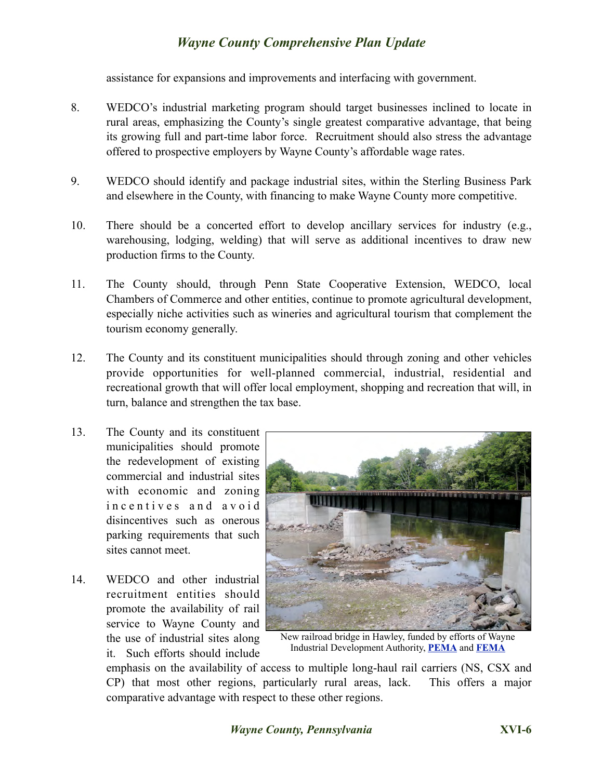assistance for expansions and improvements and interfacing with government.

- 8. WEDCO's industrial marketing program should target businesses inclined to locate in rural areas, emphasizing the County's single greatest comparative advantage, that being its growing full and part-time labor force. Recruitment should also stress the advantage offered to prospective employers by Wayne County's affordable wage rates.
- 9. WEDCO should identify and package industrial sites, within the Sterling Business Park and elsewhere in the County, with financing to make Wayne County more competitive.
- 10. There should be a concerted effort to develop ancillary services for industry (e.g., warehousing, lodging, welding) that will serve as additional incentives to draw new production firms to the County.
- 11. The County should, through Penn State Cooperative Extension, WEDCO, local Chambers of Commerce and other entities, continue to promote agricultural development, especially niche activities such as wineries and agricultural tourism that complement the tourism economy generally.
- 12. The County and its constituent municipalities should through zoning and other vehicles provide opportunities for well-planned commercial, industrial, residential and recreational growth that will offer local employment, shopping and recreation that will, in turn, balance and strengthen the tax base.
- 13. The County and its constituent municipalities should promote the redevelopment of existing commercial and industrial sites with economic and zoning i n c e n t i v e s a n d a v o i d disincentives such as onerous parking requirements that such sites cannot meet.
- 14. WEDCO and other industrial recruitment entities should promote the availability of rail service to Wayne County and the use of industrial sites along it. Such efforts should include



New railroad bridge in Hawley, funded by efforts of Wayne Industrial Development Authority, **[PEMA](http://www.pema.state.pa.us/portal/server.pt/community/pema_home/4463)** and **[FEMA](http://www.fema.gov/)**

emphasis on the availability of access to multiple long-haul rail carriers (NS, CSX and CP) that most other regions, particularly rural areas, lack. This offers a major comparative advantage with respect to these other regions.